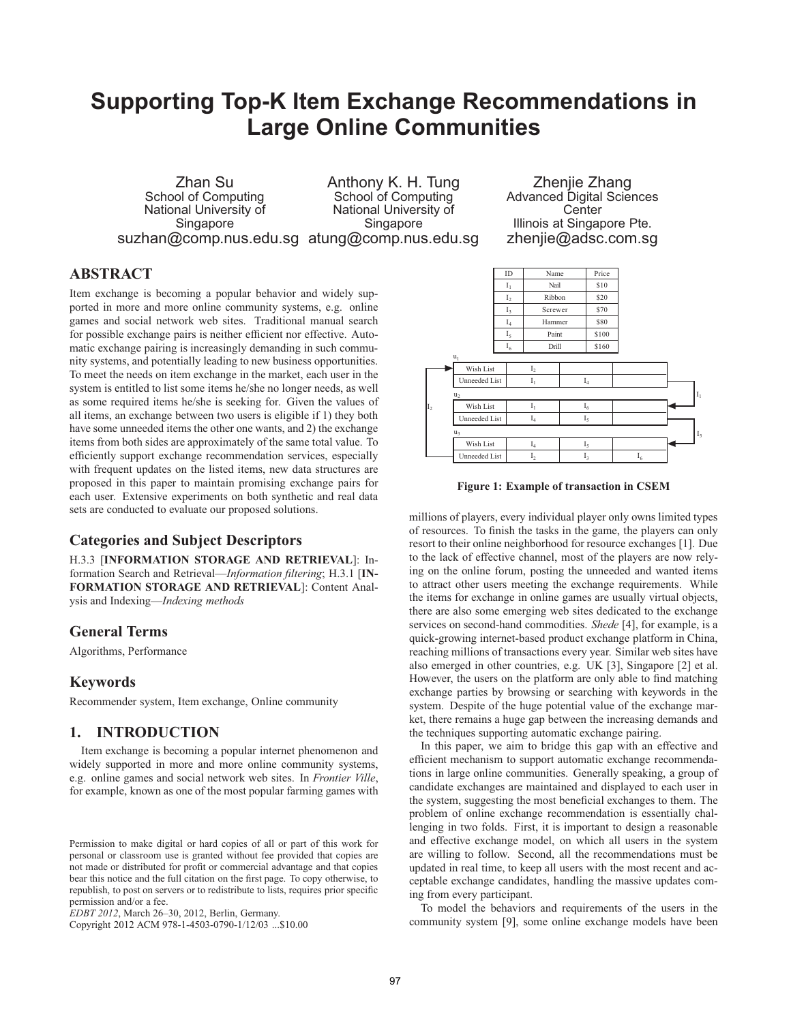# **Supporting Top-K Item Exchange Recommendations in Large Online Communities**

Zhan Su School of Computing National University of Singapore suzhan@comp.nus.edu.sg atung@comp.nus.edu.sg

Anthony K. H. Tung School of Computing National University of Singapore

Zhenjie Zhang Advanced Digital Sciences **Center** Illinois at Singapore Pte. zhenjie@adsc.com.sg

Price

\$10

 $\frac{1}{100}$ 

\$160

 $\overline{\mathrm{I}_4}$ 

 $\mathbf{I}$ 

6

 $\overline{I}$ 5

 $\bar{I}$ Ì

Name

Nail

Paint

Drill

 $\frac{1}{2}$  Ribbon \$20

Screwer S70

Hammer | \$80

ID

 $\mathrm{I}_1$ 

 $\overline{I}$ 

 $I_3$ 

 ${\rm I}_4$ 

 $I_{5}$ 

 $\overline{L}$ 

Wish List I

Wish List I

Wish List I

 $Unneeded List$   $I$ 

Unneeded Lis

 $\mathbf{u}_1$ 

u,

u,

 $\overline{I}$ 

 $Unneeded List$   $I$ 

# **ABSTRACT**

Item exchange is becoming a popular behavior and widely supported in more and more online community systems, e.g. online games and social network web sites. Traditional manual search for possible exchange pairs is neither efficient nor effective. Automatic exchange pairing is increasingly demanding in such community systems, and potentially leading to new business opportunities. To meet the needs on item exchange in the market, each user in the system is entitled to list some items he/she no longer needs, as well as some required items he/she is seeking for. Given the values of all items, an exchange between two users is eligible if 1) they both have some unneeded items the other one wants, and 2) the exchange items from both sides are approximately of the same total value. To efficiently support exchange recommendation services, especially with frequent updates on the listed items, new data structures are proposed in this paper to maintain promising exchange pairs for each user. Extensive experiments on both synthetic and real data sets are conducted to evaluate our proposed solutions.

# **Categories and Subject Descriptors**

H.3.3 [**INFORMATION STORAGE AND RETRIEVAL**]: Information Search and Retrieval—*Information filtering*; H.3.1 [**IN-FORMATION STORAGE AND RETRIEVAL**]: Content Analysis and Indexing—*Indexing methods*

# **General Terms**

Algorithms, Performance

# **Keywords**

Recommender system, Item exchange, Online community

## **1. INTRODUCTION**

Item exchange is becoming a popular internet phenomenon and widely supported in more and more online community systems, e.g. online games and social network web sites. In *Frontier Ville*, for example, known as one of the most popular farming games with

Copyright 2012 ACM 978-1-4503-0790-1/12/03 ...\$10.00



 $\frac{1}{4}$  I  $I_{5}$ 

 $\mathbf{I}$ L

 $\mathbf{I}$ 

 $\frac{1}{4}$  I  $I_5$ 

 $I_4$ 

I,

 $\frac{1}{2}$  I

millions of players, every individual player only owns limited types of resources. To finish the tasks in the game, the players can only resort to their online neighborhood for resource exchanges [1]. Due to the lack of effective channel, most of the players are now relying on the online forum, posting the unneeded and wanted items to attract other users meeting the exchange requirements. While the items for exchange in online games are usually virtual objects, there are also some emerging web sites dedicated to the exchange services on second-hand commodities. *Shede* [4], for example, is a quick-growing internet-based product exchange platform in China, reaching millions of transactions every year. Similar web sites have also emerged in other countries, e.g. UK [3], Singapore [2] et al. However, the users on the platform are only able to find matching exchange parties by browsing or searching with keywords in the system. Despite of the huge potential value of the exchange market, there remains a huge gap between the increasing demands and the techniques supporting automatic exchange pairing.

In this paper, we aim to bridge this gap with an effective and efficient mechanism to support automatic exchange recommendations in large online communities. Generally speaking, a group of candidate exchanges are maintained and displayed to each user in the system, suggesting the most beneficial exchanges to them. The problem of online exchange recommendation is essentially challenging in two folds. First, it is important to design a reasonable and effective exchange model, on which all users in the system are willing to follow. Second, all the recommendations must be updated in real time, to keep all users with the most recent and acceptable exchange candidates, handling the massive updates coming from every participant.

To model the behaviors and requirements of the users in the community system [9], some online exchange models have been

Permission to make digital or hard copies of all or part of this work for personal or classroom use is granted without fee provided that copies are not made or distributed for profit or commercial advantage and that copies bear this notice and the full citation on the first page. To copy otherwise, to republish, to post on servers or to redistribute to lists, requires prior specific permission and/or a fee.

*EDBT 2012*, March 26–30, 2012, Berlin, Germany.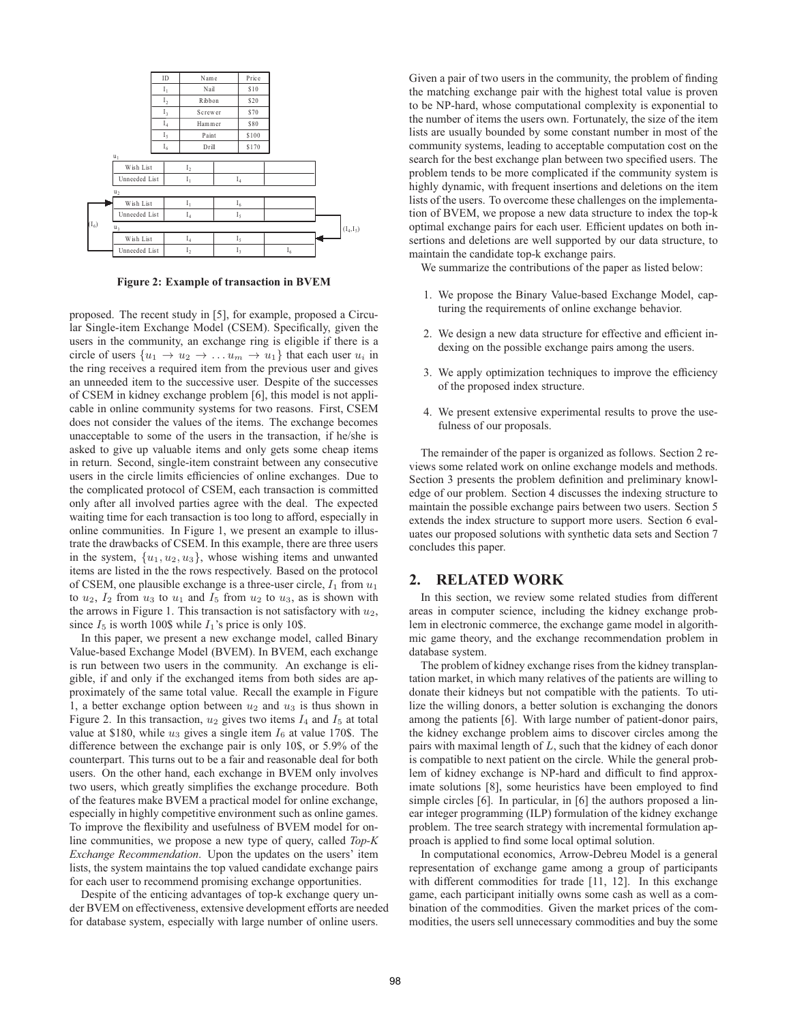

**Figure 2: Example of transaction in BVEM**

proposed. The recent study in [5], for example, proposed a Circular Single-item Exchange Model (CSEM). Specifically, given the users in the community, an exchange ring is eligible if there is a circle of users  $\{u_1 \rightarrow u_2 \rightarrow \ldots u_m \rightarrow u_1\}$  that each user  $u_i$  in the ring receives a required item from the previous user and gives an unneeded item to the successive user. Despite of the successes of CSEM in kidney exchange problem [6], this model is not applicable in online community systems for two reasons. First, CSEM does not consider the values of the items. The exchange becomes unacceptable to some of the users in the transaction, if he/she is asked to give up valuable items and only gets some cheap items in return. Second, single-item constraint between any consecutive users in the circle limits efficiencies of online exchanges. Due to the complicated protocol of CSEM, each transaction is committed only after all involved parties agree with the deal. The expected waiting time for each transaction is too long to afford, especially in online communities. In Figure 1, we present an example to illustrate the drawbacks of CSEM. In this example, there are three users in the system,  $\{u_1, u_2, u_3\}$ , whose wishing items and unwanted items are listed in the the rows respectively. Based on the protocol of CSEM, one plausible exchange is a three-user circle,  $I_1$  from  $u_1$ to  $u_2$ ,  $I_2$  from  $u_3$  to  $u_1$  and  $I_5$  from  $u_2$  to  $u_3$ , as is shown with the arrows in Figure 1. This transaction is not satisfactory with  $u_2$ , since  $I_5$  is worth 100\$ while  $I_1$ 's price is only 10\$.

In this paper, we present a new exchange model, called Binary Value-based Exchange Model (BVEM). In BVEM, each exchange is run between two users in the community. An exchange is eligible, if and only if the exchanged items from both sides are approximately of the same total value. Recall the example in Figure 1, a better exchange option between  $u_2$  and  $u_3$  is thus shown in Figure 2. In this transaction,  $u_2$  gives two items  $I_4$  and  $I_5$  at total value at \$180, while  $u_3$  gives a single item  $I_6$  at value 170\$. The difference between the exchange pair is only 10\$, or 5.9% of the counterpart. This turns out to be a fair and reasonable deal for both users. On the other hand, each exchange in BVEM only involves two users, which greatly simplifies the exchange procedure. Both of the features make BVEM a practical model for online exchange, especially in highly competitive environment such as online games. To improve the flexibility and usefulness of BVEM model for online communities, we propose a new type of query, called *Top-K Exchange Recommendation*. Upon the updates on the users' item lists, the system maintains the top valued candidate exchange pairs for each user to recommend promising exchange opportunities.

Despite of the enticing advantages of top-k exchange query under BVEM on effectiveness, extensive development efforts are needed for database system, especially with large number of online users.

Given a pair of two users in the community, the problem of finding the matching exchange pair with the highest total value is proven to be NP-hard, whose computational complexity is exponential to the number of items the users own. Fortunately, the size of the item lists are usually bounded by some constant number in most of the community systems, leading to acceptable computation cost on the search for the best exchange plan between two specified users. The problem tends to be more complicated if the community system is highly dynamic, with frequent insertions and deletions on the item lists of the users. To overcome these challenges on the implementation of BVEM, we propose a new data structure to index the top-k optimal exchange pairs for each user. Efficient updates on both insertions and deletions are well supported by our data structure, to maintain the candidate top-k exchange pairs.

We summarize the contributions of the paper as listed below:

- 1. We propose the Binary Value-based Exchange Model, capturing the requirements of online exchange behavior.
- 2. We design a new data structure for effective and efficient indexing on the possible exchange pairs among the users.
- 3. We apply optimization techniques to improve the efficiency of the proposed index structure.
- 4. We present extensive experimental results to prove the usefulness of our proposals.

The remainder of the paper is organized as follows. Section 2 reviews some related work on online exchange models and methods. Section 3 presents the problem definition and preliminary knowledge of our problem. Section 4 discusses the indexing structure to maintain the possible exchange pairs between two users. Section 5 extends the index structure to support more users. Section 6 evaluates our proposed solutions with synthetic data sets and Section 7 concludes this paper.

# **2. RELATED WORK**

In this section, we review some related studies from different areas in computer science, including the kidney exchange problem in electronic commerce, the exchange game model in algorithmic game theory, and the exchange recommendation problem in database system.

The problem of kidney exchange rises from the kidney transplantation market, in which many relatives of the patients are willing to donate their kidneys but not compatible with the patients. To utilize the willing donors, a better solution is exchanging the donors among the patients [6]. With large number of patient-donor pairs, the kidney exchange problem aims to discover circles among the pairs with maximal length of L, such that the kidney of each donor is compatible to next patient on the circle. While the general problem of kidney exchange is NP-hard and difficult to find approximate solutions [8], some heuristics have been employed to find simple circles [6]. In particular, in [6] the authors proposed a linear integer programming (ILP) formulation of the kidney exchange problem. The tree search strategy with incremental formulation approach is applied to find some local optimal solution.

In computational economics, Arrow-Debreu Model is a general representation of exchange game among a group of participants with different commodities for trade [11, 12]. In this exchange game, each participant initially owns some cash as well as a combination of the commodities. Given the market prices of the commodities, the users sell unnecessary commodities and buy the some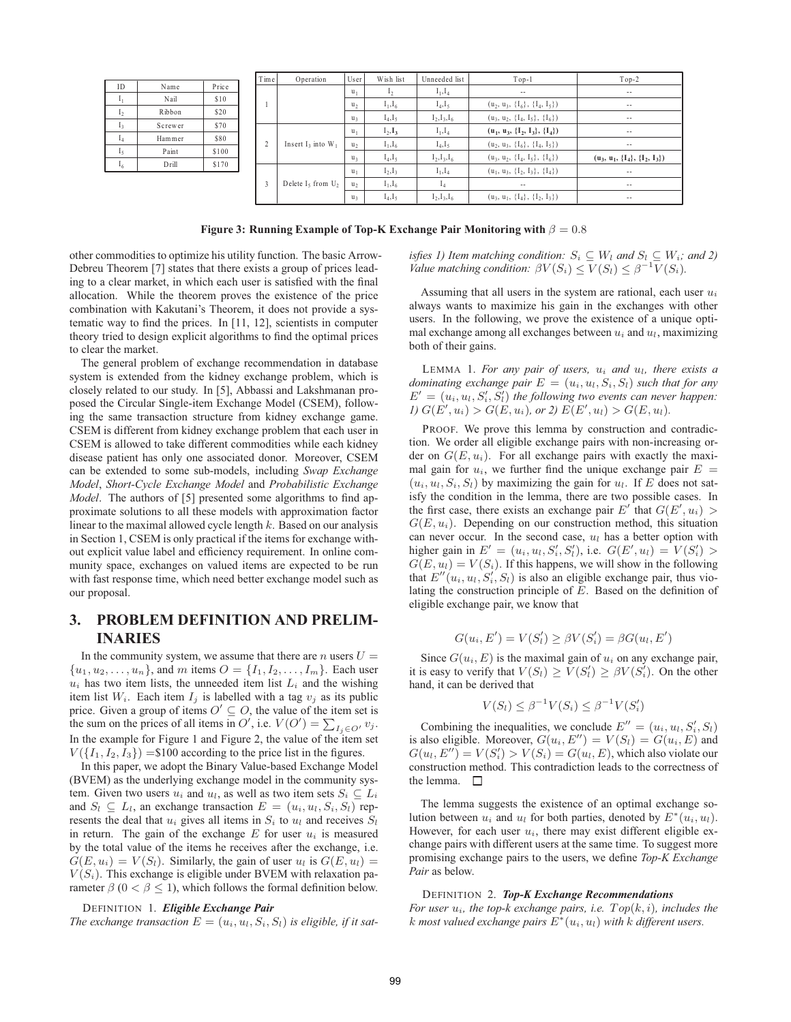| ID | Name    | Price |
|----|---------|-------|
| ı, | Nail    | \$10  |
| Ь  | Ribbon  | \$20  |
| I٩ | Screwer | \$70  |
| I4 | Hammer  | \$80  |
| I٢ | Paint   | \$100 |
| I, | Drill   | \$170 |

| Time                                      | Operation               | User           | Wish list       | Unneeded list                       | $Top-1$                             | $Top-2$ |
|-------------------------------------------|-------------------------|----------------|-----------------|-------------------------------------|-------------------------------------|---------|
|                                           |                         | $u_1$          | I <sub>2</sub>  | $I_1, I_4$                          | $\sim$ $\sim$                       | $- -$   |
|                                           |                         | u <sub>2</sub> | $I_1, I_6$      | $I_4, I_5$                          | $(u_2, u_3, \{I_6\}, \{I_4, I_5\})$ | $ -$    |
|                                           |                         | $u_3$          | $I_4, I_5$      | $I_2, I_3, I_6$                     | $(u_3, u_2, \{I_4, I_5\}, \{I_6\})$ | $ -$    |
| Insert $I_3$ into $W_1$<br>$\overline{c}$ | $u_1$                   | $I_2, I_3$     | $I_1, I_4$      | $(u_1, u_3, \{I_2, I_3\}, \{I_4\})$ | $- -$                               |         |
|                                           | u <sub>2</sub>          | $I_1, I_6$     | $I_4, I_5$      | $(u_2, u_3, \{I_6\}, \{I_4, I_5\})$ | $- -$                               |         |
|                                           | $u_3$                   | $I_4, I_5$     | $I_2, I_3, I_6$ | $(u_3, u_2, \{I_4, I_5\}, \{I_6\})$ | $(u_3, u_1, \{I_4\}, \{I_2, I_3\})$ |         |
| 3                                         | $u_1$                   | $I_2, I_3$     | $I_1, I_4$      | $(u_1, u_3, \{I_2, I_3\}, \{I_4\})$ | $ -$                                |         |
|                                           | Delete $I_5$ from $U_2$ | u,             | $I_1, I_6$      | $I_4$                               | $-$                                 | $ -$    |
|                                           |                         | $u_3$          | $I_4, I_5$      | $I_2, I_3, I_6$                     | $(u_3, u_1, \{I_4\}, \{I_2, I_3\})$ | $- -$   |

**Figure 3: Running Example of Top-K Exchange Pair Monitoring with** β = 0.8

other commodities to optimize his utility function. The basic Arrow-Debreu Theorem [7] states that there exists a group of prices leading to a clear market, in which each user is satisfied with the final allocation. While the theorem proves the existence of the price combination with Kakutani's Theorem, it does not provide a systematic way to find the prices. In [11, 12], scientists in computer theory tried to design explicit algorithms to find the optimal prices to clear the market.

The general problem of exchange recommendation in database system is extended from the kidney exchange problem, which is closely related to our study. In [5], Abbassi and Lakshmanan proposed the Circular Single-item Exchange Model (CSEM), following the same transaction structure from kidney exchange game. CSEM is different from kidney exchange problem that each user in CSEM is allowed to take different commodities while each kidney disease patient has only one associated donor. Moreover, CSEM can be extended to some sub-models, including *Swap Exchange Model*, *Short-Cycle Exchange Model* and *Probabilistic Exchange Model*. The authors of [5] presented some algorithms to find approximate solutions to all these models with approximation factor linear to the maximal allowed cycle length  $k$ . Based on our analysis in Section 1, CSEM is only practical if the items for exchange without explicit value label and efficiency requirement. In online community space, exchanges on valued items are expected to be run with fast response time, which need better exchange model such as our proposal.

# **3. PROBLEM DEFINITION AND PRELIM-INARIES**

In the community system, we assume that there are  $n$  users  $U =$  $\{u_1, u_2, \ldots, u_n\}$ , and m items  $O = \{I_1, I_2, \ldots, I_m\}$ . Each user  $u_i$  has two item lists, the unneeded item list  $L_i$  and the wishing item list  $W_i$ . Each item  $I_j$  is labelled with a tag  $v_j$  as its public price. Given a group of items  $O' \subseteq O$ , the value of the item set is the sum on the prices of all items in  $O'$ , i.e.  $V(O') = \sum_{I_j \in O'} v_j$ . In the example for Figure 1 and Figure 2, the value of the item set  $V({I<sub>1</sub>, I<sub>2</sub>, I<sub>3</sub>}) = $100$  according to the price list in the figures.

In this paper, we adopt the Binary Value-based Exchange Model (BVEM) as the underlying exchange model in the community system. Given two users  $u_i$  and  $u_l$ , as well as two item sets  $S_i \subseteq L_i$ and  $S_l \subseteq L_l$ , an exchange transaction  $E = (u_i, u_l, S_i, S_l)$  represents the deal that  $u_i$  gives all items in  $S_i$  to  $u_l$  and receives  $S_l$ in return. The gain of the exchange  $E$  for user  $u_i$  is measured by the total value of the items he receives after the exchange, i.e.  $G(E, u_i) = V(S_i)$ . Similarly, the gain of user  $u_i$  is  $G(E, u_i) =$  $V(S_i)$ . This exchange is eligible under BVEM with relaxation parameter  $\beta$  (0 <  $\beta \le 1$ ), which follows the formal definition below.

## DEFINITION 1. *Eligible Exchange Pair*

*The exchange transaction*  $E = (u_i, u_l, S_i, S_l)$  *is eligible, if it sat-*

*isfies 1) Item matching condition:*  $S_i \subseteq W_l$  *and*  $S_l \subseteq W_i$ *; and 2) Value matching condition:*  $\beta V(S_i) \leq V(S_l) \leq \beta^{-1} V(S_i)$ *.* 

Assuming that all users in the system are rational, each user  $u_i$ always wants to maximize his gain in the exchanges with other users. In the following, we prove the existence of a unique optimal exchange among all exchanges between  $u_i$  and  $u_l$ , maximizing both of their gains.

LEMMA 1. *For any pair of users,* u<sup>i</sup> *and* ul*, there exists a dominating exchange pair*  $E = (u_i, u_l, S_i, S_l)$  *such that for any*  $E' = (u_i, u_l, S'_i, S'_l)$  the following two events can never happen: *1)*  $G(E', u_i) > G(E, u_i)$ , or 2)  $E(E', u_i) > G(E, u_i)$ .

PROOF. We prove this lemma by construction and contradiction. We order all eligible exchange pairs with non-increasing order on  $G(E, u_i)$ . For all exchange pairs with exactly the maximal gain for  $u_i$ , we further find the unique exchange pair  $E =$  $(u_i, u_l, S_i, S_l)$  by maximizing the gain for  $u_l$ . If E does not satisfy the condition in the lemma, there are two possible cases. In the first case, there exists an exchange pair E' that  $G(E', u_i)$  >  $G(E, u_i)$ . Depending on our construction method, this situation can never occur. In the second case,  $u_l$  has a better option with higher gain in  $E' = (u_i, u_l, S'_i, S'_l)$ , i.e.  $G(E', u_l) = V(S'_i)$  $G(E, u_i) = V(S_i)$ . If this happens, we will show in the following that  $E''(u_i, u_i, S'_i, S_i)$  is also an eligible exchange pair, thus violating the construction principle of E. Based on the definition of eligible exchange pair, we know that

$$
G(u_i, E') = V(S'_i) \ge \beta V(S'_i) = \beta G(u_i, E')
$$

Since  $G(u_i, E)$  is the maximal gain of  $u_i$  on any exchange pair, it is easy to verify that  $V(S_l) \geq V(S'_l) \geq \beta V(S'_i)$ . On the other hand, it can be derived that

$$
V(S_l) \le \beta^{-1} V(S_i) \le \beta^{-1} V(S_i')
$$

Combining the inequalities, we conclude  $E'' = (u_i, u_l, S'_i, S_l)$ is also eligible. Moreover,  $G(u_i, E'') = V(S_i) = G(u_i, E)$  and  $G(u_l, E'') = V(S'_i) > V(S_i) = G(u_l, E)$ , which also violate our construction method. This contradiction leads to the correctness of the lemma.  $\square$ 

The lemma suggests the existence of an optimal exchange solution between  $u_i$  and  $u_l$  for both parties, denoted by  $E^*(u_i, u_l)$ . However, for each user  $u_i$ , there may exist different eligible exchange pairs with different users at the same time. To suggest more promising exchange pairs to the users, we define *Top-K Exchange Pair* as below.

#### DEFINITION 2. *Top-K Exchange Recommendations*

*For user*  $u_i$ *, the top-k exchange pairs, i.e.*  $Top(k, i)$ *, includes the* k most valued exchange pairs  $E^*(u_i, u_l)$  with k different users.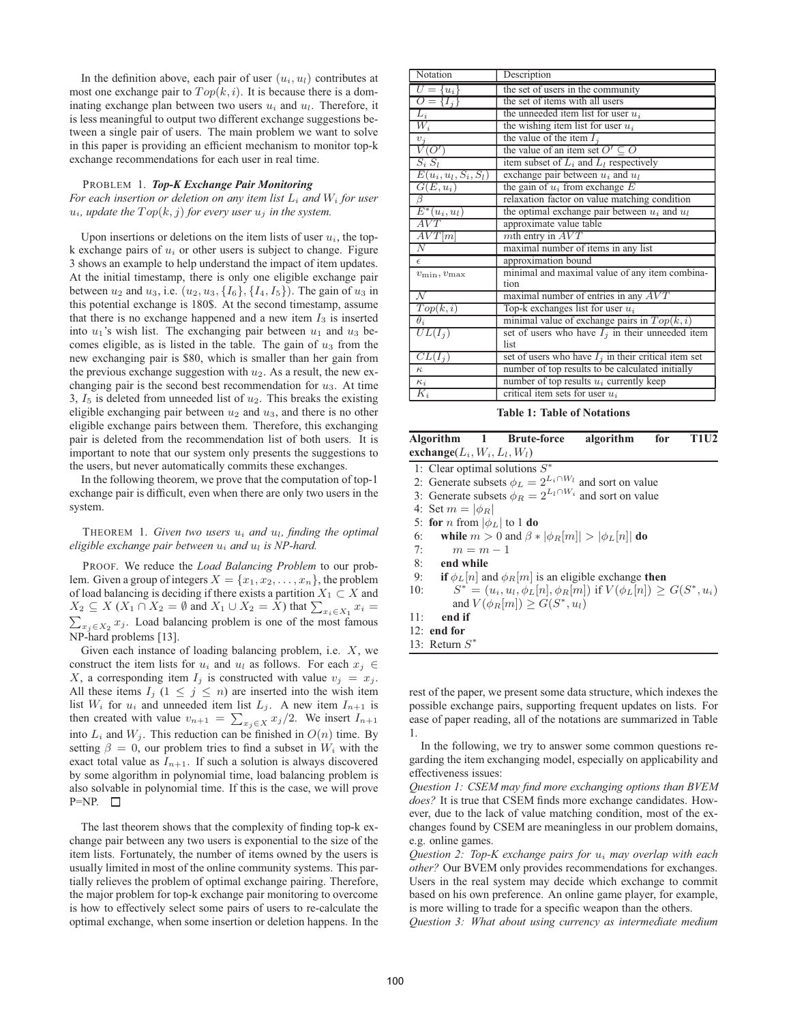In the definition above, each pair of user  $(u_i, u_l)$  contributes at most one exchange pair to  $Top(k, i)$ . It is because there is a dominating exchange plan between two users  $u_i$  and  $u_l$ . Therefore, it is less meaningful to output two different exchange suggestions between a single pair of users. The main problem we want to solve in this paper is providing an efficient mechanism to monitor top-k exchange recommendations for each user in real time.

#### PROBLEM 1. *Top-K Exchange Pair Monitoring*

For each insertion or deletion on any item list  $L_i$  and  $W_i$  for user  $u_i$ *, update the*  $Top(k, j)$  *for every user*  $u_j$  *in the system.* 

Upon insertions or deletions on the item lists of user  $u_i$ , the topk exchange pairs of  $u_i$  or other users is subject to change. Figure 3 shows an example to help understand the impact of item updates. At the initial timestamp, there is only one eligible exchange pair between  $u_2$  and  $u_3$ , i.e.  $(u_2, u_3, \{I_6\}, \{I_4, I_5\})$ . The gain of  $u_3$  in this potential exchange is 180\$. At the second timestamp, assume that there is no exchange happened and a new item  $I_3$  is inserted into  $u_1$ 's wish list. The exchanging pair between  $u_1$  and  $u_3$  becomes eligible, as is listed in the table. The gain of  $u_3$  from the new exchanging pair is \$80, which is smaller than her gain from the previous exchange suggestion with  $u_2$ . As a result, the new exchanging pair is the second best recommendation for  $u_3$ . At time 3,  $I_5$  is deleted from unneeded list of  $u_2$ . This breaks the existing eligible exchanging pair between  $u_2$  and  $u_3$ , and there is no other eligible exchange pairs between them. Therefore, this exchanging pair is deleted from the recommendation list of both users. It is important to note that our system only presents the suggestions to the users, but never automatically commits these exchanges.

In the following theorem, we prove that the computation of top-1 exchange pair is difficult, even when there are only two users in the system.

THEOREM 1. *Given two users*  $u_i$  *and*  $u_l$ *, finding the optimal eligible exchange pair between*  $u_i$  *and*  $u_l$  *is NP-hard.* 

PROOF. We reduce the *Load Balancing Problem* to our problem. Given a group of integers  $X = \{x_1, x_2, \ldots, x_n\}$ , the problem of load balancing is deciding if there exists a partition  $X_1 \subset X$  and  $X_2 \subseteq X$   $(X_1 \cap X_2 = \emptyset$  and  $X_1 \cup X_2 = X$ ) that  $\sum$  $X_2 \subseteq X$  ( $X_1 \cap X_2 = \emptyset$  and  $X_1 \cup X_2 = X$ ) that  $\sum_{x_i \in X_1} x_i = \sum_{x_j \in X_2} x_j$ . Load balancing problem is one of the most famous NP-hard problems [13].

Given each instance of loading balancing problem, i.e. X, we construct the item lists for  $u_i$  and  $u_l$  as follows. For each  $x_j \in$ X, a corresponding item  $I_j$  is constructed with value  $v_j = x_j$ . All these items  $I_j$  ( $1 \leq j \leq n$ ) are inserted into the wish item list  $W_i$  for  $u_i$  and unneeded item list  $L_i$ . A new item  $I_{n+1}$  is then created with value  $v_{n+1} = \sum_{x_j \in X} x_j/2$ . We insert  $I_{n+1}$ into  $L_i$  and  $W_j$ . This reduction can be finished in  $O(n)$  time. By setting  $\beta = 0$ , our problem tries to find a subset in  $W_i$  with the exact total value as  $I_{n+1}$ . If such a solution is always discovered by some algorithm in polynomial time, load balancing problem is also solvable in polynomial time. If this is the case, we will prove  $P=NP.$ 

The last theorem shows that the complexity of finding top-k exchange pair between any two users is exponential to the size of the item lists. Fortunately, the number of items owned by the users is usually limited in most of the online community systems. This partially relieves the problem of optimal exchange pairing. Therefore, the major problem for top-k exchange pair monitoring to overcome is how to effectively select some pairs of users to re-calculate the optimal exchange, when some insertion or deletion happens. In the

| Notation                | Description                                            |
|-------------------------|--------------------------------------------------------|
| $U = \{u_i\}$           | the set of users in the community                      |
| $O = \{I_j\}$           | the set of items with all users                        |
| $L_i$                   | the unneeded item list for user $u_i$                  |
| $W_i$                   | the wishing item list for user $u_i$                   |
| $v_i$                   | the value of the item $I_i$                            |
| V(O')                   | the value of an item set $O' \subseteq O$              |
| $S_i S_l$               | item subset of $L_i$ and $L_i$ respectively            |
| $E(u_i, u_l, S_i, S_l)$ | exchange pair between $u_i$ and $u_l$                  |
| $G(E, u_i)$             | the gain of $u_i$ from exchange $E$                    |
| β                       | relaxation factor on value matching condition          |
| $E^*(u_i,u_l)$          | the optimal exchange pair between $u_i$ and $u_l$      |
| AVT                     | approximate value table                                |
| AVT[m]                  | $m$ th entry in $AVT$                                  |
| N                       | maximal number of items in any list                    |
| $\epsilon$              | approximation bound                                    |
| $v_{\min}, v_{\max}$    | minimal and maximal value of any item combina-         |
|                         | tion                                                   |
| N                       | maximal number of entries in any $AVT$                 |
| Top(k, i)               | Top-k exchanges list for user $u_i$                    |
| $\theta_i$              | minimal value of exchange pairs in $Top(k, i)$         |
| $UL(I_j)$               | set of users who have $I_i$ in their unneeded item     |
|                         | list                                                   |
| $\overline{CL}(I_j)$    | set of users who have $I_i$ in their critical item set |
| $\kappa$                | number of top results to be calculated initially       |
| $\kappa_i$              | number of top results $u_i$ currently keep             |
| $K_i$                   | critical item sets for user $u_i$                      |

**Table 1: Table of Notations**

**Algorithm 1 Brute-force algorithm for T1U2**  $\mathbf{exchange}(L_i, W_i, L_l, W_l)$ 

- 1: Clear optimal solutions S<sup>∗</sup>
- 2: Generate subsets  $\phi_L = 2^{L_i \cap W_l}$  and sort on value
- 3: Generate subsets  $\phi_R = 2^{L_l \cap W_i}$  and sort on value
- 4: Set  $m = |\phi_R|$
- 5: **for** *n* from  $|\phi_L|$  to 1 **do**

6: **while**  $m > 0$  and  $\beta * |\phi_R[m]| > |\phi_L[n]|$  **do**<br>7:  $m = m - 1$ 

- $m = m 1$
- 8: **end while**
- 9: **if**  $\phi_L[n]$  and  $\phi_R[m]$  is an eligible exchange **then**

10:  $S^* = (u_i, u_l, \phi_L[n], \phi_R[m])$  if  $V(\phi_L[n]) \geq G(S^*, u_i)$ and  $V(\phi_R[m]) \geq G(S^*, u_l)$ 

- 11: **end if**
- 12: **end for**
- 13: Return S<sup>∗</sup>

rest of the paper, we present some data structure, which indexes the possible exchange pairs, supporting frequent updates on lists. For ease of paper reading, all of the notations are summarized in Table 1.

In the following, we try to answer some common questions regarding the item exchanging model, especially on applicability and effectiveness issues:

*Question 1: CSEM may find more exchanging options than BVEM does?* It is true that CSEM finds more exchange candidates. However, due to the lack of value matching condition, most of the exchanges found by CSEM are meaningless in our problem domains, e.g. online games.

*Question 2: Top-K exchange pairs for* u<sup>i</sup> *may overlap with each other?* Our BVEM only provides recommendations for exchanges. Users in the real system may decide which exchange to commit based on his own preference. An online game player, for example, is more willing to trade for a specific weapon than the others.

*Question 3: What about using currency as intermediate medium*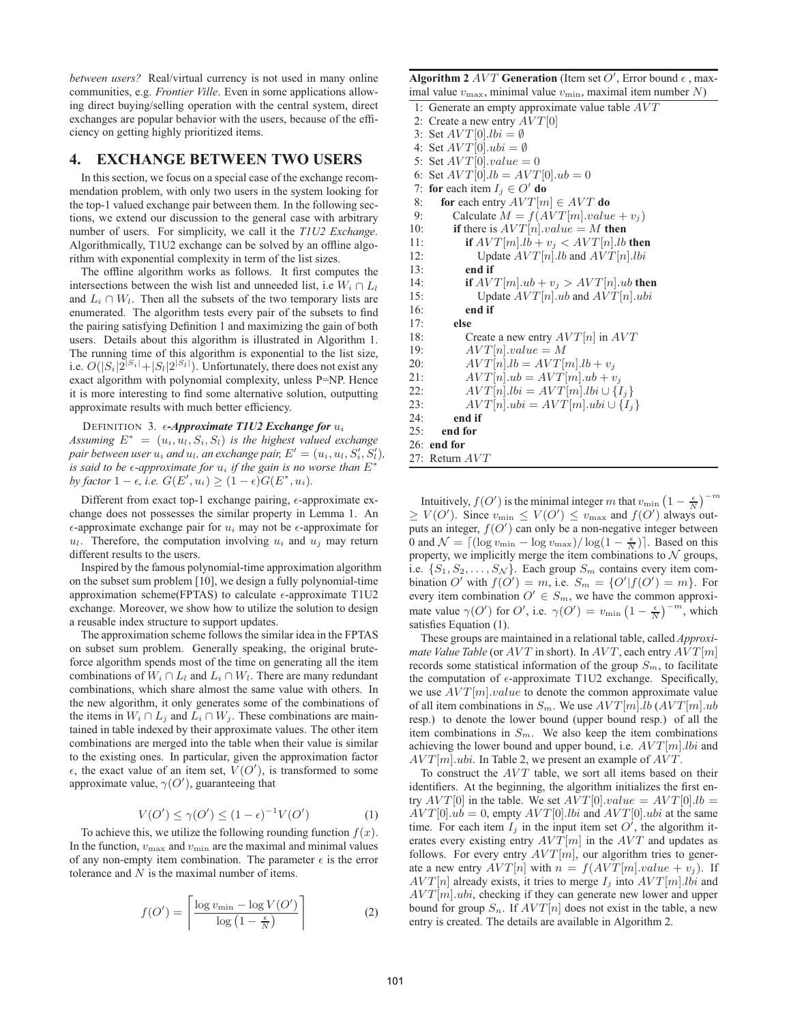*between users?* Real/virtual currency is not used in many online communities, e.g. *Frontier Ville*. Even in some applications allowing direct buying/selling operation with the central system, direct exchanges are popular behavior with the users, because of the efficiency on getting highly prioritized items.

# **4. EXCHANGE BETWEEN TWO USERS**

In this section, we focus on a special case of the exchange recommendation problem, with only two users in the system looking for the top-1 valued exchange pair between them. In the following sections, we extend our discussion to the general case with arbitrary number of users. For simplicity, we call it the *T1U2 Exchange*. Algorithmically, T1U2 exchange can be solved by an offline algorithm with exponential complexity in term of the list sizes.

The offline algorithm works as follows. It first computes the intersections between the wish list and unneeded list, i.e  $W_i \cap L_l$ and  $L_i \cap W_l$ . Then all the subsets of the two temporary lists are enumerated. The algorithm tests every pair of the subsets to find the pairing satisfying Definition 1 and maximizing the gain of both users. Details about this algorithm is illustrated in Algorithm 1. The running time of this algorithm is exponential to the list size, i.e.  $O(|S_i|2^{|S_i|}+|S_i|2^{|S_i|})$ . Unfortunately, there does not exist any exact algorithm with polynomial complexity, unless P=NP. Hence it is more interesting to find some alternative solution, outputting approximate results with much better efficiency.

DEFINITION 3.  $\epsilon$ -Approximate T1U2 Exchange for  $u_i$ *Assuming*  $E^* = (u_i, u_l, S_i, S_l)$  *is the highest valued exchange*  $p$ air between user  $u_i$  and  $u_l$ , an exchange pair,  $E' = (u_i, u_l, S'_i, S'_l)$ , *is said to be*  $\epsilon$ *-approximate for*  $u_i$  *if the gain is no worse than*  $E^*$ *by factor*  $1 - \epsilon$ , *i.e.*  $G(E', u_i) \geq (1 - \epsilon)G(E^*, u_i)$ .

Different from exact top-1 exchange pairing,  $\epsilon$ -approximate exchange does not possesses the similar property in Lemma 1. An  $\epsilon$ -approximate exchange pair for  $u_i$  may not be  $\epsilon$ -approximate for  $u_l$ . Therefore, the computation involving  $u_i$  and  $u_j$  may return different results to the users.

Inspired by the famous polynomial-time approximation algorithm on the subset sum problem [10], we design a fully polynomial-time approximation scheme(FPTAS) to calculate  $\epsilon$ -approximate T1U2 exchange. Moreover, we show how to utilize the solution to design a reusable index structure to support updates.

The approximation scheme follows the similar idea in the FPTAS on subset sum problem. Generally speaking, the original bruteforce algorithm spends most of the time on generating all the item combinations of  $W_i \cap L_i$  and  $L_i \cap W_l$ . There are many redundant combinations, which share almost the same value with others. In the new algorithm, it only generates some of the combinations of the items in  $W_i \cap L_j$  and  $L_i \cap W_j$ . These combinations are maintained in table indexed by their approximate values. The other item combinations are merged into the table when their value is similar to the existing ones. In particular, given the approximation factor  $\epsilon$ , the exact value of an item set,  $V(O')$ , is transformed to some approximate value,  $\gamma(O')$ , guaranteeing that

$$
V(O') \le \gamma(O') \le (1 - \epsilon)^{-1} V(O')
$$
 (1)

To achieve this, we utilize the following rounding function  $f(x)$ . In the function,  $v_{\text{max}}$  and  $v_{\text{min}}$  are the maximal and minimal values of any non-empty item combination. The parameter  $\epsilon$  is the error tolerance and  $N$  is the maximal number of items.

$$
f(O') = \left\lceil \frac{\log v_{\min} - \log V(O')}{\log \left(1 - \frac{\epsilon}{N}\right)} \right\rceil \tag{2}
$$

**Algorithm 2** AVT **Generation** (Item set  $O'$ , Error bound  $\epsilon$ , maximal value  $v_{\text{max}}$ , minimal value  $v_{\text{min}}$ , maximal item number N)

- 1: Generate an empty approximate value table  $AVT$
- 2: Create a new entry  $AVT[0]$
- 3: Set  $AVT[0].$ *lbi* =  $\emptyset$
- 4: Set  $AVT[0].ubi = \emptyset$
- 5: Set  $AVT[0].value = 0$
- 6: Set  $AVT[0].lb = AVT[0].ub = 0$
- 7: **for** each item  $I_j \in O'$  **do**
- 8: **for** each entry  $AVT[m] \in AVT$  **do**
- 9: Calculate  $M = f(AVT[m].value + v_j)$
- 10: **if** there is  $AVT[n].value = M$  then
- 11: **if**  $AVT[m].lb + v_i < AVT[n].lb$  then
- 12: Update  $AVT[n].lb$  and  $AVT[n].lbi$
- 13: **end if**
- 
- 14: **if**  $AVT[m].ub + v_j > AVT[n].ub$  then<br>15: Update  $AVT[n].ub$  and  $AVT[n].ubi$ 
	- Update  $AVT[n].ub$  and  $AVT[n].ubi$
- 16: **end if**
- 17: **else** 18: Create a new entry  $AVT[n]$  in  $AVT$ 19:  $AVT[n].value = M$ 20:  $AVT[n].lb = AVT[m].lb + v_i$ 21:  $AVT[n].ub = AVT[m].ub + v_j$ 22:  $AVT[n].ibi = AVT[m].ibi \cup \{I_i\}$
- 23:  $AVT[n].ubi = AVT[m].ubi \cup \{I_j\}$
- 24: **end if**
- 25: **end for**
- 26: **end for**

27: Return AVT

Intuitively,  $f(O')$  is the minimal integer m that  $v_{\min} (1 - \frac{\epsilon}{N})^{-m}$  $\geq V(O')$ . Since  $v_{\min} \leq V(O') \leq v_{\max}$  and  $f(O')$  always outputs an integer,  $f(O')$  can only be a non-negative integer between 0 and  $\mathcal{N} = \left[ (\log v_{\min} - \log v_{\max}) / \log(1 - \frac{\epsilon}{N}) \right]$ . Based on this property, we implicitly merge the item combinations to  $\mathcal N$  groups, i.e.  $\{S_1, S_2, \ldots, S_N\}$ . Each group  $S_m$  contains every item combination O' with  $f(O') = m$ , i.e.  $S_m = {O'|f(O') = m}$ . For every item combination  $O' \in S_m$ , we have the common approximate value  $\gamma(O')$  for O', i.e.  $\gamma(O') = v_{\min} \left(1 - \frac{\epsilon}{N}\right)^{-m}$ , which satisfies Equation (1).

These groups are maintained in a relational table, called *Approximate Value Table* (or  $AVT$  in short). In  $AVT$ , each entry  $AVT[m]$ records some statistical information of the group  $S_m$ , to facilitate the computation of  $\epsilon$ -approximate T1U2 exchange. Specifically, we use  $AVT[m].value$  to denote the common approximate value of all item combinations in  $S_m$ . We use  $AVT[m].lb (AVT[m].ub$ resp.) to denote the lower bound (upper bound resp.) of all the item combinations in  $S_m$ . We also keep the item combinations achieving the lower bound and upper bound, i.e.  $AVT[m].$ *lbi* and  $AVT[m].ubi.$  In Table 2, we present an example of  $AVT$ .

To construct the  $AVT$  table, we sort all items based on their identifiers. At the beginning, the algorithm initializes the first entry  $AVT[0]$  in the table. We set  $AVT[0].value = AVT[0].lb =$  $AVT[0].ub = 0$ , empty  $AVT[0].ibi$  and  $AVT[0].ubi$  at the same time. For each item  $I_j$  in the input item set  $O'$ , the algorithm iterates every existing entry  $AVT[m]$  in the  $AVT$  and updates as follows. For every entry  $AVT[m]$ , our algorithm tries to generate a new entry  $AVT[n]$  with  $n = f(AVT[m].value + v_i)$ . If  $AVT[n]$  already exists, it tries to merge  $I_i$  into  $AVT[m].$ *lbi* and  $AVT[m].ubi$ , checking if they can generate new lower and upper bound for group  $S_n$ . If  $AVT[n]$  does not exist in the table, a new entry is created. The details are available in Algorithm 2.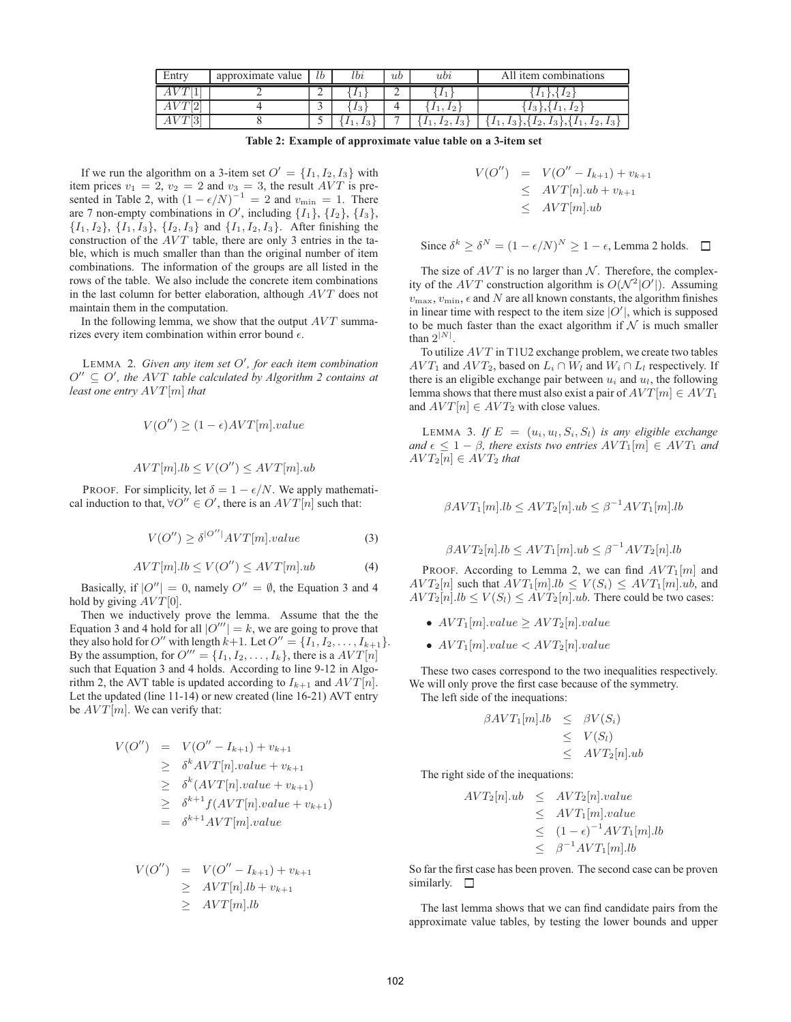| Entry | approximate value | lb | lbı                         | ub | ubv             | Il item combinations                                    |
|-------|-------------------|----|-----------------------------|----|-----------------|---------------------------------------------------------|
|       |                   | ∸  | $1_{\perp}$                 | ∸  | $\pm$ 1         | 12                                                      |
|       |                   |    | 13                          |    | 12<br>.11.      | 12<br>13                                                |
| ◡     |                   |    | 11<br>$\cdot$<br><b>A</b> 0 |    | $I_1, I_2, I_3$ | 12, 13<br>$\{12, 13\}, \{11,$<br>$13 \nbrace{0}$<br>11, |

**Table 2: Example of approximate value table on a 3-item set**

If we run the algorithm on a 3-item set  $O' = \{I_1, I_2, I_3\}$  with item prices  $v_1 = 2$ ,  $v_2 = 2$  and  $v_3 = 3$ , the result AVT is presented in Table 2, with  $(1 - \epsilon/N)^{-1} = 2$  and  $v_{\text{min}} = 1$ . There are 7 non-empty combinations in  $O'$ , including  $\{I_1\}$ ,  $\{I_2\}$ ,  $\{I_3\}$ ,  $\{I_1, I_2\}, \{I_1, I_3\}, \{I_2, I_3\}$  and  $\{I_1, I_2, I_3\}$ . After finishing the construction of the  $AVT$  table, there are only 3 entries in the table, which is much smaller than than the original number of item combinations. The information of the groups are all listed in the rows of the table. We also include the concrete item combinations in the last column for better elaboration, although  $AVT$  does not maintain them in the computation.

In the following lemma, we show that the output  $AVT$  summarizes every item combination within error bound  $\epsilon$ .

LEMMA 2. Given any item set O', for each item combination  $O'' \subseteq O'$ , the AVT table calculated by Algorithm 2 contains at *least one entry*  $AVT[m]$  *that* 

$$
V(O'') \ge (1 - \epsilon)AVT[m].value
$$

$$
AVT[m].lb \le V(O'') \le AVT[m].ub
$$

PROOF. For simplicity, let  $\delta = 1 - \epsilon/N$ . We apply mathematical induction to that,  $\forall O'' \in O'$ , there is an  $AVT[n]$  such that:

$$
V(O'') \ge \delta^{|O''|}AVT[m].value
$$
\n(3)

$$
AVT[m].lb \le V(O'') \le AVT[m].ub \tag{4}
$$

Basically, if  $|O''| = 0$ , namely  $O'' = \emptyset$ , the Equation 3 and 4 hold by giving  $AVT[0]$ .

Then we inductively prove the lemma. Assume that the the Equation 3 and 4 hold for all  $|O'''| = k$ , we are going to prove that they also hold for O'' with length  $k+1$ . Let  $O'' = \{I_1, I_2, \ldots, I_{k+1}\}.$ By the assumption, for  $O''' = \{I_1, I_2, \ldots, I_k\}$ , there is a  $AVT[n]$ such that Equation 3 and 4 holds. According to line 9-12 in Algorithm 2, the AVT table is updated according to  $I_{k+1}$  and  $AVT[n]$ . Let the updated (line 11-14) or new created (line 16-21) AVT entry be  $AVT[m]$ . We can verify that:

$$
V(O'') = V(O'' - I_{k+1}) + v_{k+1}
$$
  
\n
$$
\geq \delta^k AVT[n].value + v_{k+1}
$$
  
\n
$$
\geq \delta^k (AVT[n].value + v_{k+1})
$$
  
\n
$$
\geq \delta^{k+1} f (AVT[n].value + v_{k+1})
$$
  
\n
$$
= \delta^{k+1} AVT[m].value
$$

$$
V(O'') = V(O'' - I_{k+1}) + v_{k+1}
$$
  
\n
$$
\geq AVT[n].lb + v_{k+1}
$$
  
\n
$$
\geq AVT[m].lb
$$

$$
V(O'') = V(O'' - I_{k+1}) + v_{k+1}
$$
  
\n
$$
\leq AVT[n].ub + v_{k+1}
$$
  
\n
$$
\leq AVT[m].ub
$$

Since 
$$
\delta^k \ge \delta^N = (1 - \epsilon/N)^N \ge 1 - \epsilon
$$
, Lemma 2 holds.  $\Box$ 

The size of  $AVT$  is no larger than  $N$ . Therefore, the complexity of the AVT construction algorithm is  $O(N^2|O'|)$ . Assuming  $v_{\text{max}}$ ,  $v_{\text{min}}$ ,  $\epsilon$  and N are all known constants, the algorithm finishes in linear time with respect to the item size  $|O'|$ , which is supposed to be much faster than the exact algorithm if  $N$  is much smaller than  $2^{|N|}$ .

To utilize  $AVT$  in T1U2 exchange problem, we create two tables  $AVT_1$  and  $AVT_2$ , based on  $L_i \cap W_l$  and  $W_i \cap L_l$  respectively. If there is an eligible exchange pair between  $u_i$  and  $u_l$ , the following lemma shows that there must also exist a pair of  $AVT[m] \in AVT_1$ and  $AVT[n] \in AVT_2$  with close values.

LEMMA 3. If  $E = (u_i, u_l, S_i, S_l)$  *is any eligible exchange and*  $\epsilon \leq 1 - \beta$ *, there exists two entries*  $AVT_1[m] \in AVT_1$  *and*  $AVT_2[n] \in AVT_2$  that

$$
\beta AVT_1[m].lb \leq AVT_2[n].ub \leq \beta^{-1}AVT_1[m].lb
$$

$$
\beta AVT_2[n].lb \leq AVT_1[m].ub \leq \beta^{-1}AVT_2[n].lb
$$

PROOF. According to Lemma 2, we can find  $AVT_1[m]$  and  $AVT_2[n]$  such that  $AVT_1[m].lb \leq V(S_i) \leq AVT_1[m].ub$ , and  $AVT_2[n].lb \leq V(S_l) \leq AVT_2[n].ub$ . There could be two cases:

- $AVT_1[m].value \geq AVT_2[n].value$
- $AVT_1[m].value < AVT_2[n].value$

These two cases correspond to the two inequalities respectively. We will only prove the first case because of the symmetry. The left side of the inequations:

$$
\beta AVT_1[m].lb \leq \beta V(S_i)
$$
  
\n
$$
\leq V(S_i)
$$
  
\n
$$
\leq AVT_2[n].ub
$$

The right side of the inequations:

$$
AVT_2[n].ub \leq AVT_2[n].value
$$
  
\n
$$
\leq AVT_1[m].value
$$
  
\n
$$
\leq (1 - \epsilon)^{-1} AVT_1[m].lb
$$
  
\n
$$
\leq \beta^{-1} AVT_1[m].lb
$$

So far the first case has been proven. The second case can be proven similarly.  $\Box$ 

The last lemma shows that we can find candidate pairs from the approximate value tables, by testing the lower bounds and upper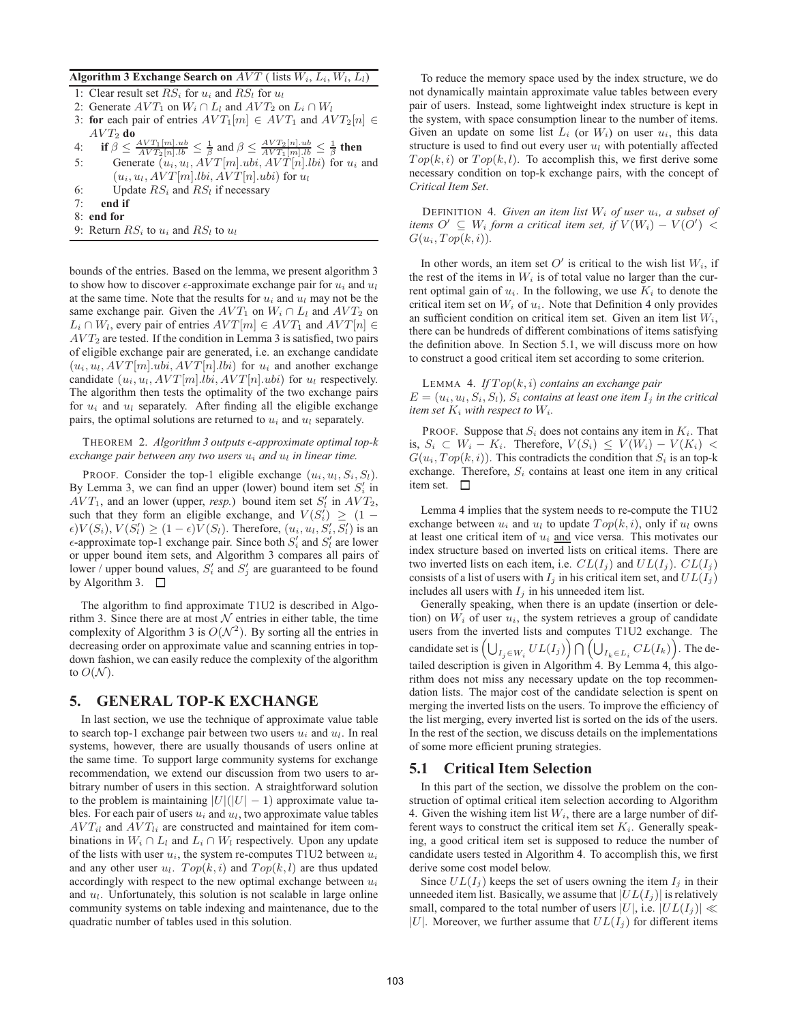### **Algorithm 3 Exchange Search on**  $AVT$  ( lists  $W_i$ ,  $L_i$ ,  $W_l$ ,  $L_l$ )

- 1: Clear result set  $RS_i$  for  $u_i$  and  $RS_l$  for  $u_l$ 2: Generate  $AVT_1$  on  $W_i \cap L_l$  and  $AVT_2$  on  $L_i \cap W_l$
- 3: **for** each pair of entries  $AVT_1[m] \in AVT_1$  and  $AVT_2[n] \in$  $AVT_2$  **do**
- 4: **if**  $\beta \le \frac{AVT_1[m].ub}{AVT_2[n].lb} \le \frac{1}{\beta}$  and  $\beta \le \frac{AVT_2[n].ub}{AVT_1[m].lb} \le \frac{1}{\beta}$  then
- 5: Generate  $(u_i, u_l, AVT[m].ubi, AVT[n].lbi)$  for  $u_i$  and  $(u_i, u_l, AVT[m].Ibi, AVT[n].ubi)$  for  $u_l$
- 6: Update  $RS_i$  and  $RS_l$  if necessary
- 7: **end if**
- 8: **end for**
- 9: Return  $RS_i$  to  $u_i$  and  $RS_l$  to  $u_l$

bounds of the entries. Based on the lemma, we present algorithm 3 to show how to discover  $\epsilon$ -approximate exchange pair for  $u_i$  and  $u_l$ at the same time. Note that the results for  $u_i$  and  $u_l$  may not be the same exchange pair. Given the  $AVT_1$  on  $W_i \cap L_i$  and  $AVT_2$  on  $L_i \cap W_l$ , every pair of entries  $AVT[m] \in AVT_1$  and  $AVT[n] \in$  $AVT_2$  are tested. If the condition in Lemma 3 is satisfied, two pairs of eligible exchange pair are generated, i.e. an exchange candidate  $(u_i, u_l, AVT[m].ubi, AVT[n].ibi)$  for  $u_i$  and another exchange candidate  $(u_i, u_l, AVT[m].lbi, AVT[n].ubi)$  for  $u_l$  respectively. The algorithm then tests the optimality of the two exchange pairs for  $u_i$  and  $u_l$  separately. After finding all the eligible exchange pairs, the optimal solutions are returned to  $u_i$  and  $u_l$  separately.

THEOREM 2. *Algorithm 3 outputs -approximate optimal top-k exchange pair between any two users*  $u_i$  *and*  $u_l$  *in linear time.* 

PROOF. Consider the top-1 eligible exchange  $(u_i, u_l, S_i, S_l)$ . By Lemma 3, we can find an upper (lower) bound item set  $S_i'$  in  $AVT_1$ , and an lower (upper, *resp.*) bound item set  $S'_l$  in  $AVT_2$ , such that they form an eligible exchange, and  $V(S_i') \geq (1 \epsilon$ ) $V(S_i)$ ,  $V(S'_i) \ge (1 - \epsilon) V(S_i)$ . Therefore,  $(u_i, u_i, S'_i, \overline{S'_i})$  is an  $\epsilon$ -approximate top-1 exchange pair. Since both  $S_i'$  and  $S_i'$  are lower or upper bound item sets, and Algorithm 3 compares all pairs of lower / upper bound values,  $S_i'$  and  $S_j'$  are guaranteed to be found by Algorithm 3.  $\Box$ 

The algorithm to find approximate T1U2 is described in Algorithm 3. Since there are at most  $N$  entries in either table, the time complexity of Algorithm 3 is  $O(N^2)$ . By sorting all the entries in decreasing order on approximate value and scanning entries in topdown fashion, we can easily reduce the complexity of the algorithm to  $O(N)$ .

# **5. GENERAL TOP-K EXCHANGE**

In last section, we use the technique of approximate value table to search top-1 exchange pair between two users  $u_i$  and  $u_l$ . In real systems, however, there are usually thousands of users online at the same time. To support large community systems for exchange recommendation, we extend our discussion from two users to arbitrary number of users in this section. A straightforward solution to the problem is maintaining  $|U|(|U|-1)$  approximate value tables. For each pair of users  $u_i$  and  $u_l$ , two approximate value tables  $AVT_{il}$  and  $AVT_{li}$  are constructed and maintained for item combinations in  $W_i \cap L_i$  and  $L_i \cap W_l$  respectively. Upon any update of the lists with user  $u_i$ , the system re-computes T1U2 between  $u_i$ and any other user  $u_l$ .  $Top(k, i)$  and  $Top(k, l)$  are thus updated accordingly with respect to the new optimal exchange between  $u_i$ and  $u_l$ . Unfortunately, this solution is not scalable in large online community systems on table indexing and maintenance, due to the quadratic number of tables used in this solution.

To reduce the memory space used by the index structure, we do not dynamically maintain approximate value tables between every pair of users. Instead, some lightweight index structure is kept in the system, with space consumption linear to the number of items. Given an update on some list  $L_i$  (or  $W_i$ ) on user  $u_i$ , this data structure is used to find out every user  $u_l$  with potentially affected  $Top(k, i)$  or  $Top(k, l)$ . To accomplish this, we first derive some necessary condition on top-k exchange pairs, with the concept of *Critical Item Set*.

DEFINITION 4. *Given an item list* W<sup>i</sup> *of user* ui*, a subset of items*  $O' ⊆ W_i$  *form a critical item set, if*  $V(W_i) - V(O') <$  $G(u_i, Top(k, i)).$ 

In other words, an item set  $O'$  is critical to the wish list  $W_i$ , if the rest of the items in  $W_i$  is of total value no larger than the current optimal gain of  $u_i$ . In the following, we use  $K_i$  to denote the critical item set on  $W_i$  of  $u_i$ . Note that Definition 4 only provides an sufficient condition on critical item set. Given an item list  $W_i$ , there can be hundreds of different combinations of items satisfying the definition above. In Section 5.1, we will discuss more on how to construct a good critical item set according to some criterion.

LEMMA 4. If  $Top(k, i)$  contains an exchange pair  $E = (u_i, u_l, S_i, S_l)$ ,  $S_i$  contains at least one item  $I_i$  in the critical *item set*  $K_i$  *with respect to*  $W_i$ *.* 

PROOF. Suppose that  $S_i$  does not contains any item in  $K_i$ . That is,  $S_i \subset W_i - K_i$ . Therefore,  $V(S_i) \leq V(W_i) - V(K_i)$  $G(u_i, Top(k, i))$ . This contradicts the condition that  $S_i$  is an top-k exchange. Therefore,  $S_i$  contains at least one item in any critical item set.  $\square$ 

Lemma 4 implies that the system needs to re-compute the T1U2 exchange between  $u_i$  and  $u_l$  to update  $Top(k, i)$ , only if  $u_l$  owns at least one critical item of  $u_i$  and vice versa. This motivates our index structure based on inverted lists on critical items. There are two inverted lists on each item, i.e.  $CL(I_i)$  and  $UL(I_i)$ .  $CL(I_j)$ consists of a list of users with  $I_j$  in his critical item set, and  $UL(I_j)$ includes all users with  $I_i$  in his unneeded item list.

Generally speaking, when there is an update (insertion or deletion) on  $W_i$  of user  $u_i$ , the system retrieves a group of candidate users from the inverted lists and computes T1U2 exchange. The candidate set is  $\left(\bigcup_{I_j\in W_i}UL(I_j)\right)\bigcap \left(\bigcup_{I_k\in L_i}CL(I_k)\right)$ . The detailed description is given in Algorithm 4. By Lemma 4, this algorithm does not miss any necessary update on the top recommendation lists. The major cost of the candidate selection is spent on merging the inverted lists on the users. To improve the efficiency of the list merging, every inverted list is sorted on the ids of the users. In the rest of the section, we discuss details on the implementations of some more efficient pruning strategies.

## **5.1 Critical Item Selection**

In this part of the section, we dissolve the problem on the construction of optimal critical item selection according to Algorithm 4. Given the wishing item list  $W_i$ , there are a large number of different ways to construct the critical item set  $K_i$ . Generally speaking, a good critical item set is supposed to reduce the number of candidate users tested in Algorithm 4. To accomplish this, we first derive some cost model below.

Since  $UL(I_i)$  keeps the set of users owning the item  $I_i$  in their unneeded item list. Basically, we assume that  $|UL(I_j)|$  is relatively small, compared to the total number of users  $|U|$ , i.e.  $|UL(I_i)| \ll$ |U|. Moreover, we further assume that  $UL(I_i)$  for different items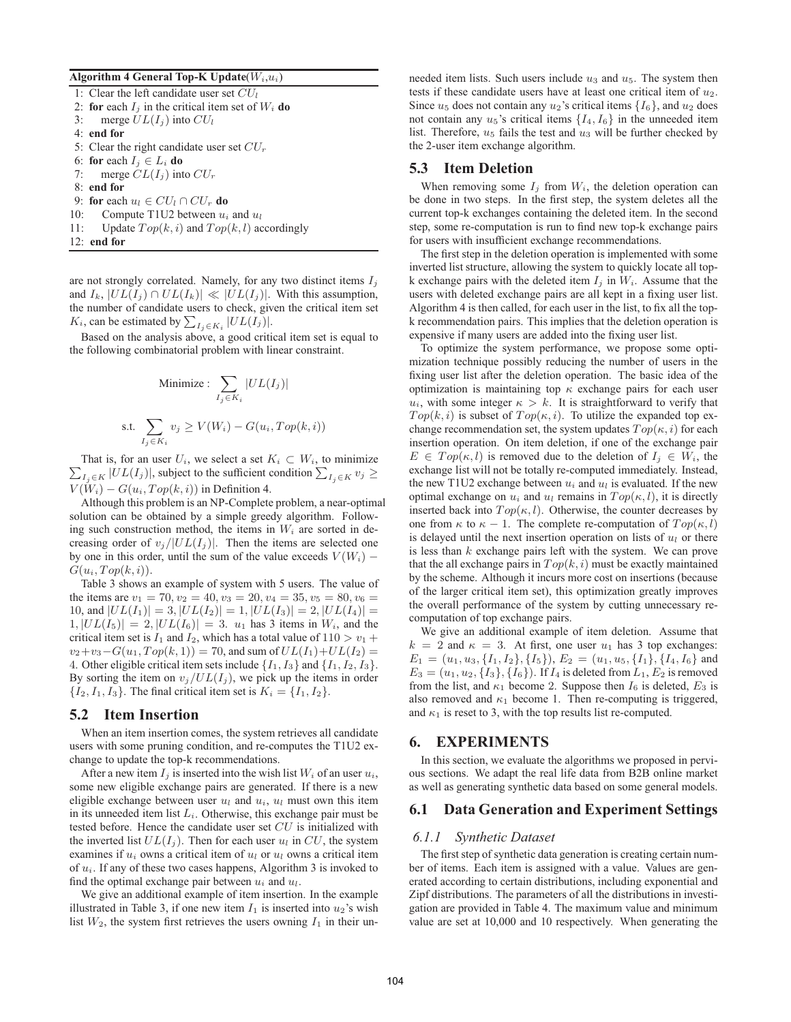#### **Algorithm 4 General Top-K Update** $(W_i, u_i)$

| 1: Clear the left candidate user set $CUl$             |
|--------------------------------------------------------|
| 2: for each $I_i$ in the critical item set of $W_i$ do |
| 3: merge $UL(I_i)$ into $CU_i$                         |
| $4:$ end for                                           |
| 5: Clear the right candidate user set $CU_r$           |
| 6: for each $I_i \in L_i$ do                           |
| 7: merge $CL(I_i)$ into $CU_r$                         |
| $8:$ end for                                           |
| 9: for each $u_l \in CU_l \cap CU_r$ do                |
| 10: Compute T1U2 between $u_i$ and $u_l$               |
| 11: Update $Top(k, i)$ and $Top(k, l)$ accordingly     |
| $12:$ end for                                          |

are not strongly correlated. Namely, for any two distinct items  $I_i$ and  $I_k$ ,  $|UL(I_j) \cap UL(I_k)| \ll |UL(I_j)|$ . With this assumption, the number of candidate users to check, given the critical item set  $K_i$ , can be estimated by  $\sum_{I_j \in K_i} |UL(I_j)|$ .

Based on the analysis above, a good critical item set is equal to the following combinatorial problem with linear constraint.

Minimize: 
$$
\sum_{I_j \in K_i} |UL(I_j)|
$$
  
s.t. 
$$
\sum_{I_j \in K_i} v_j \ge V(W_i) - G(u_i, Top(k, i))
$$

 $\sum_{I_j \in K} |UL(I_j)|$ , subject to the sufficient condition  $\sum_{I_j \in K} v_j \geq$ That is, for an user  $U_i$ , we select a set  $K_i \subset W_i$ , to minimize  $V(W_i) - G(u_i, Top(k, i))$  in Definition 4.

Although this problem is an NP-Complete problem, a near-optimal solution can be obtained by a simple greedy algorithm. Following such construction method, the items in  $W_i$  are sorted in decreasing order of  $v_j/|UL(I_i)|$ . Then the items are selected one by one in this order, until the sum of the value exceeds  $V(W_i)$  –  $G(u_i, Top(k, i)).$ 

Table 3 shows an example of system with 5 users. The value of the items are  $v_1 = 70$ ,  $v_2 = 40$ ,  $v_3 = 20$ ,  $v_4 = 35$ ,  $v_5 = 80$ ,  $v_6 =$ 10, and  $|UL(I_1)| = 3$ ,  $|UL(I_2)| = 1$ ,  $|UL(I_3)| = 2$ ,  $|UL(I_4)| = 1$  $1, |UL(I_5)| = 2, |UL(I_6)| = 3.$   $u_1$  has 3 items in  $W_i$ , and the critical item set is  $I_1$  and  $I_2$ , which has a total value of  $110 > v_1 +$  $v_2+v_3-G(u_1, Top(k, 1)) = 70$ , and sum of  $UL(I_1)+UL(I_2) =$ 4. Other eligible critical item sets include  $\{I_1, I_3\}$  and  $\{I_1, I_2, I_3\}$ . By sorting the item on  $v_j/UL(I_j)$ , we pick up the items in order  ${I_2, I_1, I_3}$ . The final critical item set is  $K_i = {I_1, I_2}$ .

## **5.2 Item Insertion**

When an item insertion comes, the system retrieves all candidate users with some pruning condition, and re-computes the T1U2 exchange to update the top-k recommendations.

After a new item  $I_i$  is inserted into the wish list  $W_i$  of an user  $u_i$ , some new eligible exchange pairs are generated. If there is a new eligible exchange between user  $u_l$  and  $u_i$ ,  $u_l$  must own this item in its unneeded item list  $L<sub>i</sub>$ . Otherwise, this exchange pair must be tested before. Hence the candidate user set CU is initialized with the inverted list  $UL(I_i)$ . Then for each user  $u_l$  in CU, the system examines if  $u_i$  owns a critical item of  $u_l$  or  $u_l$  owns a critical item of  $u_i$ . If any of these two cases happens, Algorithm 3 is invoked to find the optimal exchange pair between  $u_i$  and  $u_l$ .

We give an additional example of item insertion. In the example illustrated in Table 3, if one new item  $I_1$  is inserted into  $u_2$ 's wish list  $W_2$ , the system first retrieves the users owning  $I_1$  in their unneeded item lists. Such users include  $u_3$  and  $u_5$ . The system then tests if these candidate users have at least one critical item of  $u_2$ . Since  $u_5$  does not contain any  $u_2$ 's critical items  $\{I_6\}$ , and  $u_2$  does not contain any  $u_5$ 's critical items  $\{I_4, I_6\}$  in the unneeded item list. Therefore,  $u_5$  fails the test and  $u_3$  will be further checked by the 2-user item exchange algorithm.

## **5.3 Item Deletion**

When removing some  $I_i$  from  $W_i$ , the deletion operation can be done in two steps. In the first step, the system deletes all the current top-k exchanges containing the deleted item. In the second step, some re-computation is run to find new top-k exchange pairs for users with insufficient exchange recommendations.

The first step in the deletion operation is implemented with some inverted list structure, allowing the system to quickly locate all topk exchange pairs with the deleted item  $I_i$  in  $W_i$ . Assume that the users with deleted exchange pairs are all kept in a fixing user list. Algorithm 4 is then called, for each user in the list, to fix all the topk recommendation pairs. This implies that the deletion operation is expensive if many users are added into the fixing user list.

To optimize the system performance, we propose some optimization technique possibly reducing the number of users in the fixing user list after the deletion operation. The basic idea of the optimization is maintaining top  $\kappa$  exchange pairs for each user  $u_i$ , with some integer  $\kappa > k$ . It is straightforward to verify that  $Top(k, i)$  is subset of  $Top(\kappa, i)$ . To utilize the expanded top exchange recommendation set, the system updates  $Top(\kappa, i)$  for each insertion operation. On item deletion, if one of the exchange pair  $E \in Top(\kappa, l)$  is removed due to the deletion of  $I_i \in W_i$ , the exchange list will not be totally re-computed immediately. Instead, the new T1U2 exchange between  $u_i$  and  $u_l$  is evaluated. If the new optimal exchange on  $u_i$  and  $u_l$  remains in  $Top(\kappa, l)$ , it is directly inserted back into  $Top(\kappa, l)$ . Otherwise, the counter decreases by one from  $\kappa$  to  $\kappa - 1$ . The complete re-computation of  $Top(\kappa, l)$ is delayed until the next insertion operation on lists of  $u_l$  or there is less than  $k$  exchange pairs left with the system. We can prove that the all exchange pairs in  $Top(k, i)$  must be exactly maintained by the scheme. Although it incurs more cost on insertions (because of the larger critical item set), this optimization greatly improves the overall performance of the system by cutting unnecessary recomputation of top exchange pairs.

We give an additional example of item deletion. Assume that  $k = 2$  and  $\kappa = 3$ . At first, one user  $u_1$  has 3 top exchanges:  $E_1 = (u_1, u_3, \{I_1, I_2\}, \{I_5\}), E_2 = (u_1, u_5, \{I_1\}, \{I_4, I_6\})$  and  $E_3 = (u_1, u_2, \{I_3\}, \{I_6\})$ . If  $I_4$  is deleted from  $L_1, E_2$  is removed from the list, and  $\kappa_1$  become 2. Suppose then  $I_6$  is deleted,  $E_3$  is also removed and  $\kappa_1$  become 1. Then re-computing is triggered, and  $\kappa_1$  is reset to 3, with the top results list re-computed.

## **6. EXPERIMENTS**

In this section, we evaluate the algorithms we proposed in pervious sections. We adapt the real life data from B2B online market as well as generating synthetic data based on some general models.

## **6.1 Data Generation and Experiment Settings**

### *6.1.1 Synthetic Dataset*

The first step of synthetic data generation is creating certain number of items. Each item is assigned with a value. Values are generated according to certain distributions, including exponential and Zipf distributions. The parameters of all the distributions in investigation are provided in Table 4. The maximum value and minimum value are set at 10,000 and 10 respectively. When generating the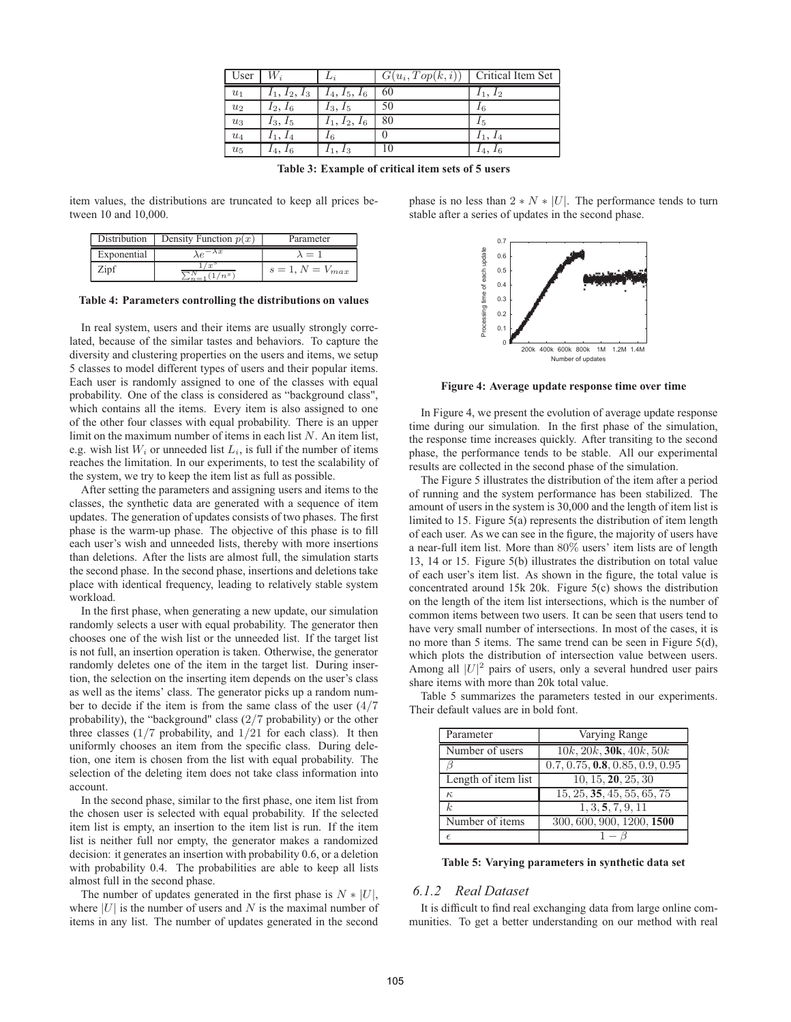| User  | W i             | $\mathcal{L}_i$ | $G(u_i, Top(k, i))$ | Critical Item Set |
|-------|-----------------|-----------------|---------------------|-------------------|
| $u_1$ | $I_1, I_2, I_3$ | $I_4, I_5, I_6$ | 60                  | $I_1, I_2$        |
| $u_2$ | 12, 16          | 13, 15          | 50                  | 16                |
| $u_3$ | $I_3, I_5$      | $I_1, I_2, I_6$ | 80                  | 15                |
| $u_4$ | $I_1, I_4$      | 16              |                     | $I_1, I_4$        |
| $u_5$ | 14, 16          | $I_1, I_3$      | 10                  | $I_4, I_6$        |

**Table 3: Example of critical item sets of 5 users**

item values, the distributions are truncated to keep all prices between 10 and 10,000.

| Distribution | Density Function $p(x)$  | Parameter        |
|--------------|--------------------------|------------------|
| Exponential  | $\lambda e^{-\lambda x}$ | . = '            |
| Zipf         | $\cdot$ 1/ $n^{s}$       | $s=1, N=V_{max}$ |

#### **Table 4: Parameters controlling the distributions on values**

In real system, users and their items are usually strongly correlated, because of the similar tastes and behaviors. To capture the diversity and clustering properties on the users and items, we setup 5 classes to model different types of users and their popular items. Each user is randomly assigned to one of the classes with equal probability. One of the class is considered as "background class", which contains all the items. Every item is also assigned to one of the other four classes with equal probability. There is an upper limit on the maximum number of items in each list  $N$ . An item list, e.g. wish list  $W_i$  or unneeded list  $L_i$ , is full if the number of items reaches the limitation. In our experiments, to test the scalability of the system, we try to keep the item list as full as possible.

After setting the parameters and assigning users and items to the classes, the synthetic data are generated with a sequence of item updates. The generation of updates consists of two phases. The first phase is the warm-up phase. The objective of this phase is to fill each user's wish and unneeded lists, thereby with more insertions than deletions. After the lists are almost full, the simulation starts the second phase. In the second phase, insertions and deletions take place with identical frequency, leading to relatively stable system workload.

In the first phase, when generating a new update, our simulation randomly selects a user with equal probability. The generator then chooses one of the wish list or the unneeded list. If the target list is not full, an insertion operation is taken. Otherwise, the generator randomly deletes one of the item in the target list. During insertion, the selection on the inserting item depends on the user's class as well as the items' class. The generator picks up a random number to decide if the item is from the same class of the user  $(4/7)$ probability), the "background" class (2/7 probability) or the other three classes  $(1/7 \text{ probability}, \text{ and } 1/21 \text{ for each class}).$  It then uniformly chooses an item from the specific class. During deletion, one item is chosen from the list with equal probability. The selection of the deleting item does not take class information into account.

In the second phase, similar to the first phase, one item list from the chosen user is selected with equal probability. If the selected item list is empty, an insertion to the item list is run. If the item list is neither full nor empty, the generator makes a randomized decision: it generates an insertion with probability 0.6, or a deletion with probability 0.4. The probabilities are able to keep all lists almost full in the second phase.

The number of updates generated in the first phase is  $N * |U|$ , where  $|U|$  is the number of users and N is the maximal number of items in any list. The number of updates generated in the second

phase is no less than  $2 * N * |U|$ . The performance tends to turn stable after a series of updates in the second phase.



**Figure 4: Average update response time over time**

In Figure 4, we present the evolution of average update response time during our simulation. In the first phase of the simulation, the response time increases quickly. After transiting to the second phase, the performance tends to be stable. All our experimental results are collected in the second phase of the simulation.

The Figure 5 illustrates the distribution of the item after a period of running and the system performance has been stabilized. The amount of users in the system is 30,000 and the length of item list is limited to 15. Figure 5(a) represents the distribution of item length of each user. As we can see in the figure, the majority of users have a near-full item list. More than 80% users' item lists are of length 13, 14 or 15. Figure 5(b) illustrates the distribution on total value of each user's item list. As shown in the figure, the total value is concentrated around 15k 20k. Figure 5(c) shows the distribution on the length of the item list intersections, which is the number of common items between two users. It can be seen that users tend to have very small number of intersections. In most of the cases, it is no more than 5 items. The same trend can be seen in Figure 5(d), which plots the distribution of intersection value between users. Among all  $|U|^2$  pairs of users, only a several hundred user pairs share items with more than 20k total value.

Table 5 summarizes the parameters tested in our experiments. Their default values are in bold font.

| Parameter           | Varying Range                   |
|---------------------|---------------------------------|
| Number of users     | 10k, 20k, 30k, 40k, 50k         |
|                     | 0.7, 0.75, 0.8, 0.85, 0.9, 0.95 |
| Length of item list | 10, 15, 20, 25, 30              |
| $\kappa$            | 15, 25, 35, 45, 55, 65, 75      |
| k.                  | 1, 3, 5, 7, 9, 11               |
| Number of items     | 300, 600, 900, 1200, 1500       |
|                     | $1 - \beta$                     |

**Table 5: Varying parameters in synthetic data set**

#### *6.1.2 Real Dataset*

It is difficult to find real exchanging data from large online communities. To get a better understanding on our method with real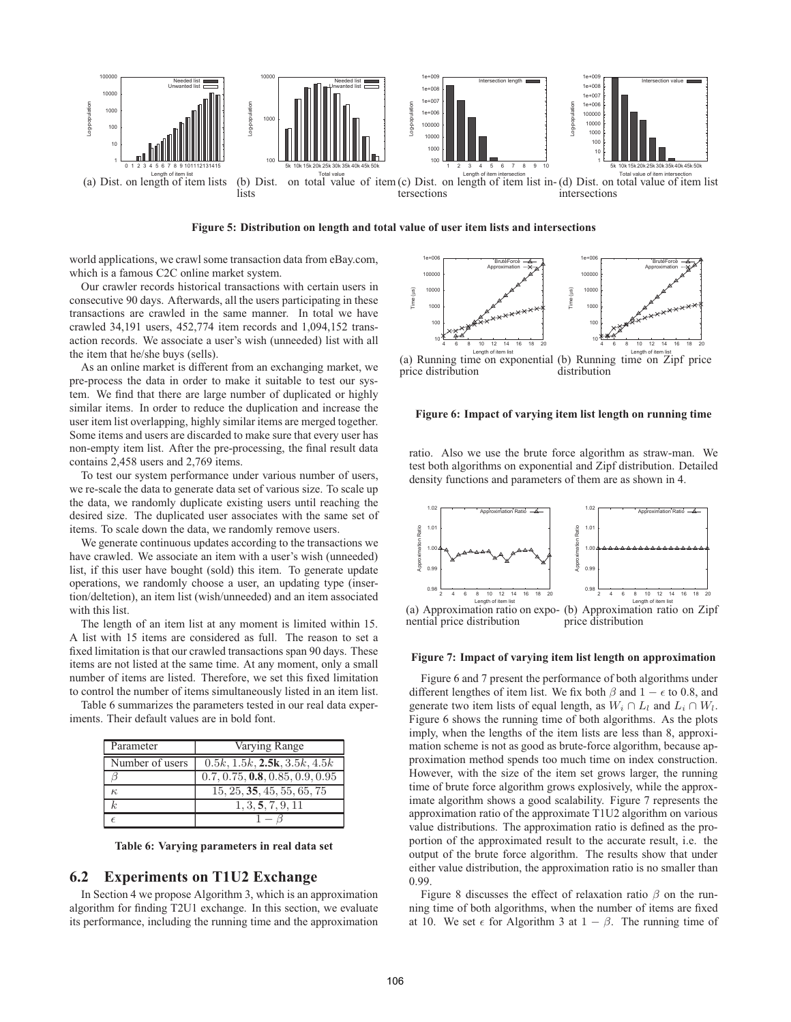

**Figure 5: Distribution on length and total value of user item lists and intersections**

world applications, we crawl some transaction data from eBay.com, which is a famous C2C online market system.

Our crawler records historical transactions with certain users in consecutive 90 days. Afterwards, all the users participating in these transactions are crawled in the same manner. In total we have crawled 34,191 users, 452,774 item records and 1,094,152 transaction records. We associate a user's wish (unneeded) list with all the item that he/she buys (sells).

As an online market is different from an exchanging market, we pre-process the data in order to make it suitable to test our system. We find that there are large number of duplicated or highly similar items. In order to reduce the duplication and increase the user item list overlapping, highly similar items are merged together. Some items and users are discarded to make sure that every user has non-empty item list. After the pre-processing, the final result data contains 2,458 users and 2,769 items.

To test our system performance under various number of users, we re-scale the data to generate data set of various size. To scale up the data, we randomly duplicate existing users until reaching the desired size. The duplicated user associates with the same set of items. To scale down the data, we randomly remove users.

We generate continuous updates according to the transactions we have crawled. We associate an item with a user's wish (unneeded) list, if this user have bought (sold) this item. To generate update operations, we randomly choose a user, an updating type (insertion/deltetion), an item list (wish/unneeded) and an item associated with this list.

The length of an item list at any moment is limited within 15. A list with 15 items are considered as full. The reason to set a fixed limitation is that our crawled transactions span 90 days. These items are not listed at the same time. At any moment, only a small number of items are listed. Therefore, we set this fixed limitation to control the number of items simultaneously listed in an item list.

Table 6 summarizes the parameters tested in our real data experiments. Their default values are in bold font.

| Parameter       | Varying Range                   |
|-----------------|---------------------------------|
| Number of users | $0.5k$ , 1.5k, 2.5k, 3.5k, 4.5k |
|                 | 0.7, 0.75, 0.8, 0.85, 0.9, 0.95 |
| $\kappa$        | 15, 25, 35, 45, 55, 65, 75      |
|                 | 1, 3, 5, 7, 9, 11               |
|                 | $1 - \beta$                     |

**Table 6: Varying parameters in real data set**

## **6.2 Experiments on T1U2 Exchange**

In Section 4 we propose Algorithm 3, which is an approximation algorithm for finding T2U1 exchange. In this section, we evaluate its performance, including the running time and the approximation



Length of item list<br>(a) Running time on exponential (b) Running time on Zipf price price distribution distribution

#### **Figure 6: Impact of varying item list length on running time**

ratio. Also we use the brute force algorithm as straw-man. We test both algorithms on exponential and Zipf distribution. Detailed density functions and parameters of them are as shown in 4.



#### **Figure 7: Impact of varying item list length on approximation**

Figure 6 and 7 present the performance of both algorithms under different lengthes of item list. We fix both  $\beta$  and  $1 - \epsilon$  to 0.8, and generate two item lists of equal length, as  $W_i \cap L_l$  and  $L_i \cap W_l$ . Figure 6 shows the running time of both algorithms. As the plots imply, when the lengths of the item lists are less than 8, approximation scheme is not as good as brute-force algorithm, because approximation method spends too much time on index construction. However, with the size of the item set grows larger, the running time of brute force algorithm grows explosively, while the approximate algorithm shows a good scalability. Figure 7 represents the approximation ratio of the approximate T1U2 algorithm on various value distributions. The approximation ratio is defined as the proportion of the approximated result to the accurate result, i.e. the output of the brute force algorithm. The results show that under either value distribution, the approximation ratio is no smaller than 0.99.

Figure 8 discusses the effect of relaxation ratio  $\beta$  on the running time of both algorithms, when the number of items are fixed at 10. We set  $\epsilon$  for Algorithm 3 at  $1 - \beta$ . The running time of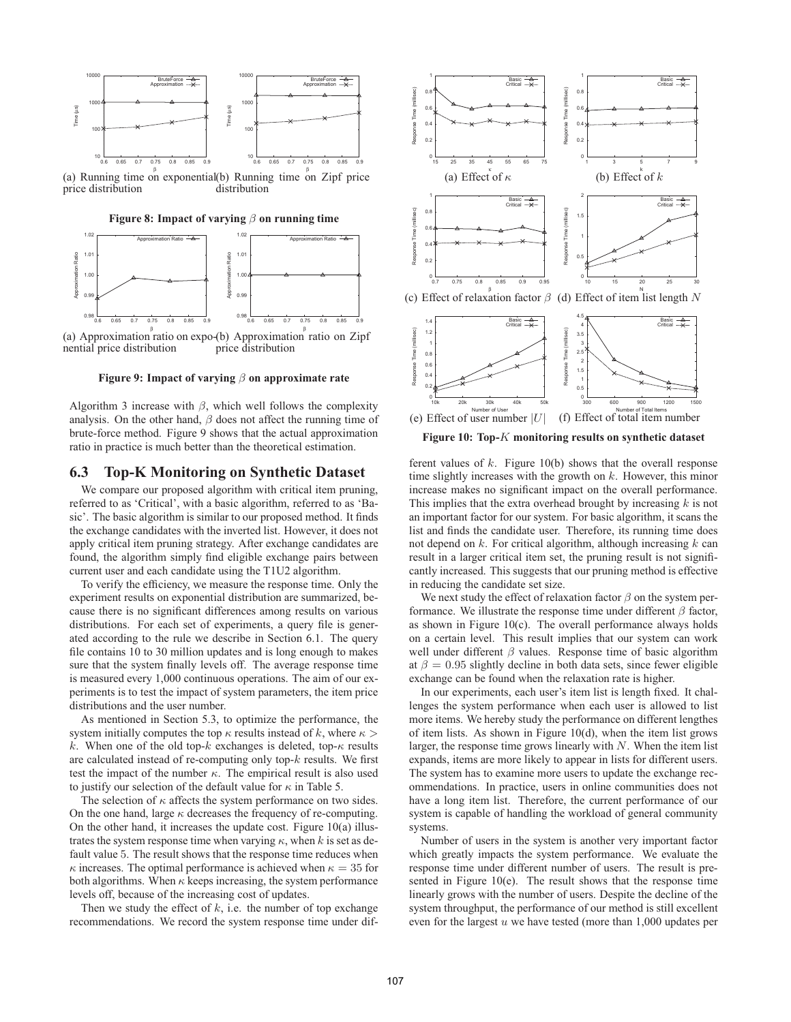

(a) Running time on exponential (b) Running time on Zipf price price distribution distribution

**Figure 8: Impact of varying** β **on running time**



(a) Approximation ratio on expo-(b) Approximation ratio on Zipf nential price distribution price distribution

#### **Figure 9: Impact of varying** β **on approximate rate**

Algorithm 3 increase with  $\beta$ , which well follows the complexity analysis. On the other hand,  $\beta$  does not affect the running time of brute-force method. Figure 9 shows that the actual approximation ratio in practice is much better than the theoretical estimation.

## **6.3 Top-K Monitoring on Synthetic Dataset**

We compare our proposed algorithm with critical item pruning, referred to as 'Critical', with a basic algorithm, referred to as 'Basic'. The basic algorithm is similar to our proposed method. It finds the exchange candidates with the inverted list. However, it does not apply critical item pruning strategy. After exchange candidates are found, the algorithm simply find eligible exchange pairs between current user and each candidate using the T1U2 algorithm.

To verify the efficiency, we measure the response time. Only the experiment results on exponential distribution are summarized, because there is no significant differences among results on various distributions. For each set of experiments, a query file is generated according to the rule we describe in Section 6.1. The query file contains 10 to 30 million updates and is long enough to makes sure that the system finally levels off. The average response time is measured every 1,000 continuous operations. The aim of our experiments is to test the impact of system parameters, the item price distributions and the user number.

As mentioned in Section 5.3, to optimize the performance, the system initially computes the top  $\kappa$  results instead of k, where  $\kappa$  > k. When one of the old top-k exchanges is deleted, top- $\kappa$  results are calculated instead of re-computing only top- $k$  results. We first test the impact of the number  $\kappa$ . The empirical result is also used to justify our selection of the default value for  $\kappa$  in Table 5.

The selection of  $\kappa$  affects the system performance on two sides. On the one hand, large  $\kappa$  decreases the frequency of re-computing. On the other hand, it increases the update cost. Figure 10(a) illustrates the system response time when varying  $\kappa$ , when k is set as default value 5. The result shows that the response time reduces when  $\kappa$  increases. The optimal performance is achieved when  $\kappa = 35$  for both algorithms. When  $\kappa$  keeps increasing, the system performance levels off, because of the increasing cost of updates.

Then we study the effect of  $k$ , i.e. the number of top exchange recommendations. We record the system response time under dif-



**Figure 10: Top-**K **monitoring results on synthetic dataset**

ferent values of  $k$ . Figure 10(b) shows that the overall response time slightly increases with the growth on  $k$ . However, this minor increase makes no significant impact on the overall performance. This implies that the extra overhead brought by increasing  $k$  is not an important factor for our system. For basic algorithm, it scans the list and finds the candidate user. Therefore, its running time does not depend on  $k$ . For critical algorithm, although increasing  $k$  can result in a larger critical item set, the pruning result is not significantly increased. This suggests that our pruning method is effective in reducing the candidate set size.

We next study the effect of relaxation factor  $\beta$  on the system performance. We illustrate the response time under different  $\beta$  factor, as shown in Figure 10(c). The overall performance always holds on a certain level. This result implies that our system can work well under different  $\beta$  values. Response time of basic algorithm at  $\beta = 0.95$  slightly decline in both data sets, since fewer eligible exchange can be found when the relaxation rate is higher.

In our experiments, each user's item list is length fixed. It challenges the system performance when each user is allowed to list more items. We hereby study the performance on different lengthes of item lists. As shown in Figure 10(d), when the item list grows larger, the response time grows linearly with  $N$ . When the item list expands, items are more likely to appear in lists for different users. The system has to examine more users to update the exchange recommendations. In practice, users in online communities does not have a long item list. Therefore, the current performance of our system is capable of handling the workload of general community systems.

Number of users in the system is another very important factor which greatly impacts the system performance. We evaluate the response time under different number of users. The result is presented in Figure 10(e). The result shows that the response time linearly grows with the number of users. Despite the decline of the system throughput, the performance of our method is still excellent even for the largest u we have tested (more than 1,000 updates per